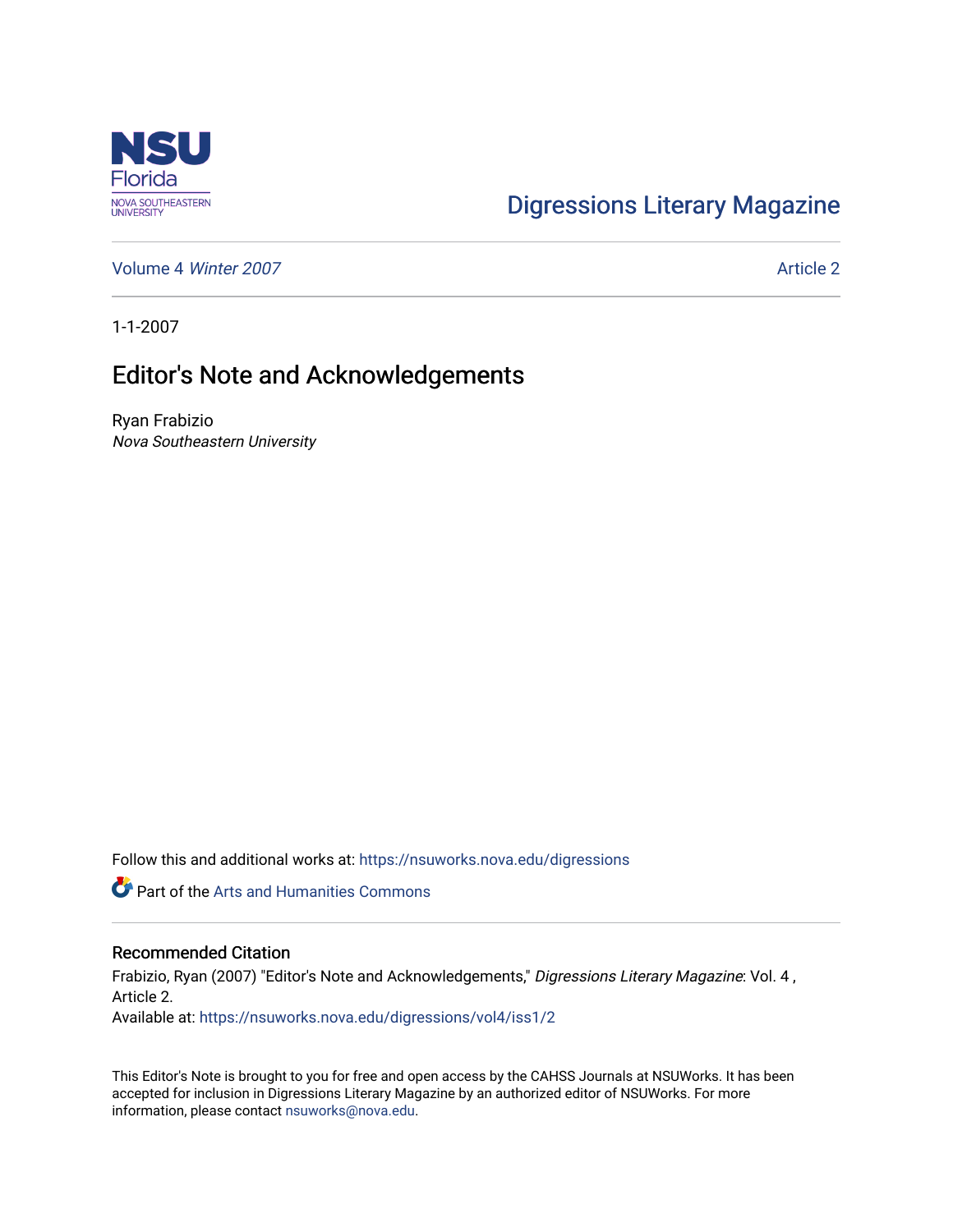

## [Digressions Literary Magazine](https://nsuworks.nova.edu/digressions)

[Volume 4](https://nsuworks.nova.edu/digressions/vol4) Winter 2007 **Article 2** Article 2

1-1-2007

## Editor's Note and Acknowledgements

Ryan Frabizio Nova Southeastern University

Follow this and additional works at: [https://nsuworks.nova.edu/digressions](https://nsuworks.nova.edu/digressions?utm_source=nsuworks.nova.edu%2Fdigressions%2Fvol4%2Fiss1%2F2&utm_medium=PDF&utm_campaign=PDFCoverPages) 

Part of the [Arts and Humanities Commons](http://network.bepress.com/hgg/discipline/438?utm_source=nsuworks.nova.edu%2Fdigressions%2Fvol4%2Fiss1%2F2&utm_medium=PDF&utm_campaign=PDFCoverPages) 

## Recommended Citation

Frabizio, Ryan (2007) "Editor's Note and Acknowledgements," Digressions Literary Magazine: Vol. 4 , Article 2.

Available at: [https://nsuworks.nova.edu/digressions/vol4/iss1/2](https://nsuworks.nova.edu/digressions/vol4/iss1/2?utm_source=nsuworks.nova.edu%2Fdigressions%2Fvol4%2Fiss1%2F2&utm_medium=PDF&utm_campaign=PDFCoverPages) 

This Editor's Note is brought to you for free and open access by the CAHSS Journals at NSUWorks. It has been accepted for inclusion in Digressions Literary Magazine by an authorized editor of NSUWorks. For more information, please contact [nsuworks@nova.edu.](mailto:nsuworks@nova.edu)